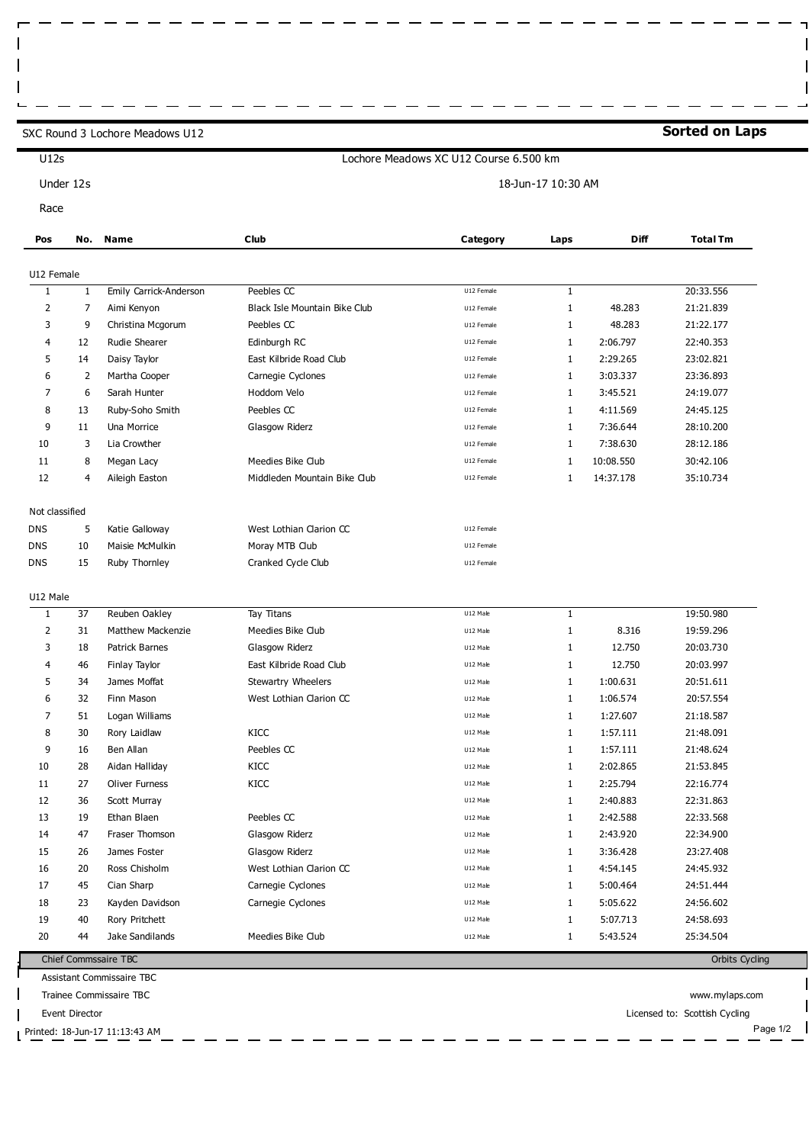SXC Round 3 Lochore Meadows U12

ľ

 $\mathbf{I}$  $\mathbf{I}$ 

## **Sorted on Laps**

 $\mathbf{\mathbf{\mathsf{u}}}$ 

| U12s                                            |                                            | Lochore Meadows XC U12 Course 6.500 km |                               |            |              |             |                        |  |  |  |
|-------------------------------------------------|--------------------------------------------|----------------------------------------|-------------------------------|------------|--------------|-------------|------------------------|--|--|--|
| Under 12s                                       |                                            | 18-Jun-17 10:30 AM                     |                               |            |              |             |                        |  |  |  |
| Race                                            |                                            |                                        |                               |            |              |             |                        |  |  |  |
| Pos                                             | No.                                        | <b>Name</b>                            | Club                          | Category   | Laps         | <b>Diff</b> | <b>Total Tm</b>        |  |  |  |
| U12 Female                                      |                                            |                                        |                               |            |              |             |                        |  |  |  |
| $\mathbf{1}$                                    | $\mathbf{1}$                               | Emily Carrick-Anderson                 | Peebles CC                    | U12 Female | $\mathbf{1}$ |             | 20:33.556              |  |  |  |
| 2                                               | 7                                          | Aimi Kenyon                            | Black Isle Mountain Bike Club | U12 Female | $\mathbf{1}$ | 48.283      | 21:21.839              |  |  |  |
| 3                                               | 9                                          | Christina Mcgorum                      | Peebles CC                    | U12 Female | $\mathbf{1}$ | 48.283      | 21:22.177              |  |  |  |
| 4                                               | 12                                         | Rudie Shearer                          | Edinburgh RC                  | U12 Female | 1            | 2:06.797    | 22:40.353              |  |  |  |
| 5                                               | 14                                         | Daisy Taylor                           | East Kilbride Road Club       | U12 Female | $\mathbf{1}$ | 2:29.265    | 23:02.821              |  |  |  |
| 6                                               | 2                                          | Martha Cooper                          | Carnegie Cyclones             | U12 Female | $\mathbf{1}$ | 3:03.337    | 23:36.893              |  |  |  |
| 7                                               | 6                                          | Sarah Hunter                           | Hoddom Velo                   | U12 Female | $\mathbf{1}$ | 3:45.521    | 24:19.077              |  |  |  |
| 8                                               | 13                                         | Ruby-Soho Smith                        | Peebles CC                    | U12 Female | $\mathbf{1}$ | 4:11.569    | 24:45.125              |  |  |  |
| 9                                               | 11                                         | Una Morrice                            | Glasgow Riderz                | U12 Female | $\mathbf{1}$ | 7:36.644    | 28:10.200              |  |  |  |
| 10                                              | 3                                          | Lia Crowther                           |                               | U12 Female | $\mathbf{1}$ | 7:38.630    | 28:12.186              |  |  |  |
| 11                                              | 8                                          | Megan Lacy                             | Meedies Bike Club             | U12 Female | $\mathbf{1}$ | 10:08.550   | 30:42.106              |  |  |  |
| 12                                              | 4                                          | Aileigh Easton                         | Middleden Mountain Bike Club  | U12 Female | 1            | 14:37.178   | 35:10.734              |  |  |  |
|                                                 |                                            |                                        |                               |            |              |             |                        |  |  |  |
| Not classified                                  |                                            |                                        |                               |            |              |             |                        |  |  |  |
| <b>DNS</b>                                      | 5                                          | Katie Galloway                         | West Lothian Clarion CC       | U12 Female |              |             |                        |  |  |  |
| <b>DNS</b>                                      | 10                                         | Maisie McMulkin                        | Moray MTB Club                | U12 Female |              |             |                        |  |  |  |
| <b>DNS</b>                                      | 15                                         | Ruby Thornley                          | Cranked Cycle Club            | U12 Female |              |             |                        |  |  |  |
|                                                 |                                            |                                        |                               |            |              |             |                        |  |  |  |
| U12 Male                                        |                                            |                                        |                               |            |              |             |                        |  |  |  |
| 1                                               | 37                                         | Reuben Oakley                          | Tay Titans                    | U12 Male   | $\mathbf{1}$ |             | 19:50.980              |  |  |  |
| 2                                               | 31                                         | <b>Matthew Mackenzie</b>               | Meedies Bike Club             | U12 Male   | $\mathbf{1}$ | 8.316       | 19:59.296              |  |  |  |
| 3                                               | 18                                         | Patrick Barnes                         | Glasgow Riderz                | U12 Male   | 1            | 12.750      | 20:03.730              |  |  |  |
| $\overline{4}$                                  | 46                                         | Finlay Taylor                          | East Kilbride Road Club       | U12 Male   | $\mathbf{1}$ | 12.750      | 20:03.997              |  |  |  |
| 5                                               | 34                                         | James Moffat                           | Stewartry Wheelers            | U12 Male   | $\mathbf{1}$ | 1:00.631    | 20:51.611              |  |  |  |
| 6                                               | 32                                         | Finn Mason                             | West Lothian Clarion CC       | U12 Male   | $\mathbf{1}$ | 1:06.574    | 20:57.554              |  |  |  |
| 7                                               | 51                                         | Logan Williams                         |                               | U12 Male   | $\mathbf{1}$ | 1:27.607    | 21:18.587              |  |  |  |
| 8                                               | 30                                         | Rory Laidlaw                           | KICC                          | U12 Male   | 1            | 1:57.111    | 21:48.091              |  |  |  |
| 9                                               | 16                                         | Ben Allan                              | Peebles CC                    | U12 Male   | $\mathbf{1}$ | 1:57.111    | 21:48.624              |  |  |  |
| 10                                              | 28                                         | Aidan Halliday                         | KICC                          | U12 Male   | $\mathbf{1}$ | 2:02.865    | 21:53.845              |  |  |  |
| 11                                              | 27                                         | <b>Oliver Furness</b>                  | KICC                          | U12 Male   | 1            | 2:25.794    | 22:16.774              |  |  |  |
| 12                                              | 36                                         | Scott Murray                           |                               | U12 Male   | 1            | 2:40.883    | 22:31.863              |  |  |  |
| 13                                              | 19                                         | Ethan Blaen                            | Peebles CC                    | U12 Male   | 1            | 2:42.588    | 22:33.568              |  |  |  |
| 14                                              | 47                                         | Fraser Thomson                         | Glasgow Riderz                | U12 Male   | 1            | 2:43.920    | 22:34.900              |  |  |  |
| 15                                              | 26                                         | James Foster                           | Glasgow Riderz                | U12 Male   | 1            | 3:36.428    | 23:27.408              |  |  |  |
| 16                                              | 20                                         | Ross Chisholm                          | West Lothian Clarion CC       | U12 Male   | $\mathbf{1}$ | 4:54.145    | 24:45.932              |  |  |  |
| 17                                              | 45                                         | Cian Sharp                             | Carnegie Cyclones             | U12 Male   | $\mathbf{1}$ | 5:00.464    | 24:51.444              |  |  |  |
| 18                                              | 23                                         |                                        |                               | U12 Male   | 1            | 5:05.622    |                        |  |  |  |
| 19                                              | 40                                         | Kayden Davidson<br>Rory Pritchett      | Carnegie Cyclones             | U12 Male   | 1            | 5:07.713    | 24:56.602<br>24:58.693 |  |  |  |
| 20                                              | 44                                         | Jake Sandilands                        | Meedies Bike Club             | U12 Male   | 1            | 5:43.524    | 25:34.504              |  |  |  |
|                                                 |                                            |                                        |                               |            |              |             |                        |  |  |  |
|                                                 | Chief Commssaire TBC<br>Orbits Cycling     |                                        |                               |            |              |             |                        |  |  |  |
| Assistant Commissaire TBC                       |                                            |                                        |                               |            |              |             |                        |  |  |  |
| Trainee Commissaire TBC<br>www.mylaps.com       |                                            |                                        |                               |            |              |             |                        |  |  |  |
| Licensed to: Scottish Cycling<br>Event Director |                                            |                                        |                               |            |              |             |                        |  |  |  |
|                                                 | Page 1/2<br>Printed: 18-Jun-17 11:13:43 AM |                                        |                               |            |              |             |                        |  |  |  |